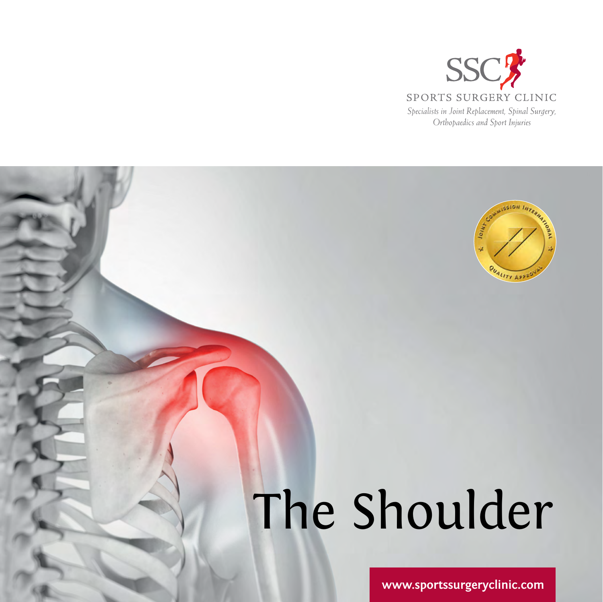



# The Shoulder

**www.sportssurgeryclinic.com**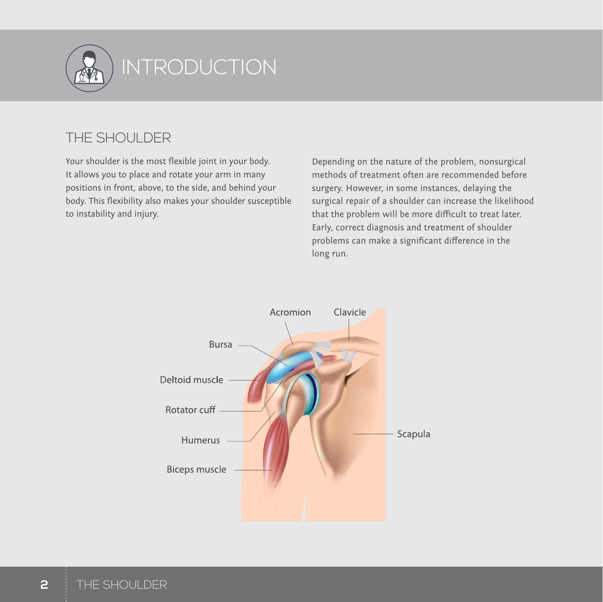

# **INTRODUCTION**

# THE SHOULDER

Your shoulder is the most flexible joint in your body. It allows you to place and rotate your arm in many positions in front, above, to the side, and behind your body. This flexibility also makes your shoulder susceptible to instability and injury.

Depending on the nature of the problem, nonsurgical methods of treatment often are recommended before surgery. However, in some instances, delaying the surgical repair of a shoulder can increase the likelihood that the problem will be more difficult to treat later. Early, correct diagnosis and treatment of shoulder problems can make a significant difference in the long run.

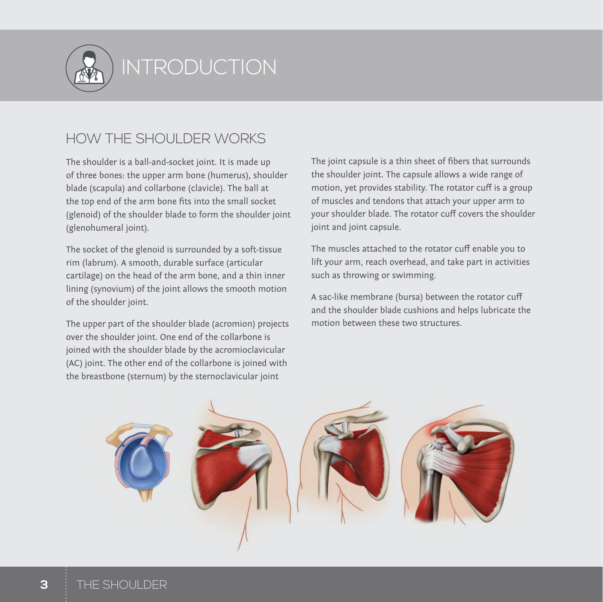

# INTRODUCTION EXERCISES INTRODUCTION

# HOW THE SHOULDER WORKS

The shoulder is a ball-and-socket joint. It is made up of three bones: the upper arm bone (humerus), shoulder blade (scapula) and collarbone (clavicle). The ball at the top end of the arm bone fits into the small socket (glenoid) of the shoulder blade to form the shoulder joint (glenohumeral joint).

The socket of the glenoid is surrounded by a soft-tissue rim (labrum). A smooth, durable surface (articular cartilage) on the head of the arm bone, and a thin inner lining (synovium) of the joint allows the smooth motion of the shoulder joint.

The upper part of the shoulder blade (acromion) projects over the shoulder joint. One end of the collarbone is joined with the shoulder blade by the acromioclavicular (AC) joint. The other end of the collarbone is joined with the breastbone (sternum) by the sternoclavicular joint

The joint capsule is a thin sheet of fibers that surrounds the shoulder joint. The capsule allows a wide range of motion, yet provides stability. The rotator cuff is a group of muscles and tendons that attach your upper arm to your shoulder blade. The rotator cuff covers the shoulder joint and joint capsule.

The muscles attached to the rotator cuff enable you to lift your arm, reach overhead, and take part in activities such as throwing or swimming.

A sac-like membrane (bursa) between the rotator cuff and the shoulder blade cushions and helps lubricate the motion between these two structures.

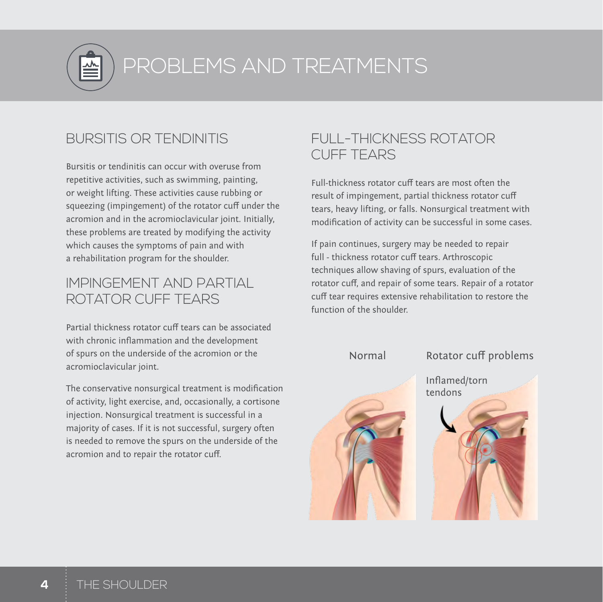

L PROBLEMS AND TREATMENTS

## BURSITIS OR TENDINITIS

Bursitis or tendinitis can occur with overuse from repetitive activities, such as swimming, painting, or weight lifting. These activities cause rubbing or squeezing (impingement) of the rotator cuff under the acromion and in the acromioclavicular joint. Initially, these problems are treated by modifying the activity which causes the symptoms of pain and with a rehabilitation program for the shoulder.

## IMPINGEMENT AND PARTIAL ROTATOR CUFF TEARS

Partial thickness rotator cuff tears can be associated with chronic inflammation and the development of spurs on the underside of the acromion or the acromioclavicular joint.

The conservative nonsurgical treatment is modification of activity, light exercise, and, occasionally, a cortisone injection. Nonsurgical treatment is successful in a majority of cases. If it is not successful, surgery often is needed to remove the spurs on the underside of the acromion and to repair the rotator cuff.

# FULL-THICKNESS ROTATOR CUFF TEARS

Full-thickness rotator cuff tears are most often the result of impingement, partial thickness rotator cuff tears, heavy lifting, or falls. Nonsurgical treatment with modification of activity can be successful in some cases.

If pain continues, surgery may be needed to repair full - thickness rotator cuff tears. Arthroscopic techniques allow shaving of spurs, evaluation of the rotator cuff, and repair of some tears. Repair of a rotator cuff tear requires extensive rehabilitation to restore the function of the shoulder.

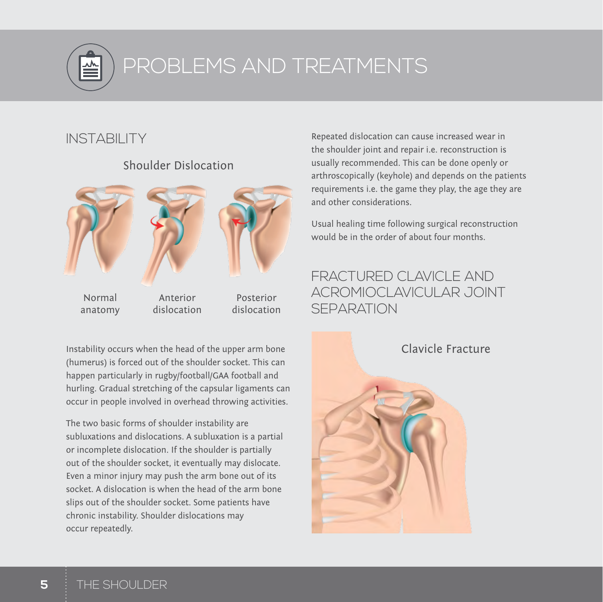

# L PROBLEMS AND TREATMENTS

# INSTARII ITY



#### Shoulder Dislocation

Instability occurs when the head of the upper arm bone (humerus) is forced out of the shoulder socket. This can happen particularly in rugby/football/GAA football and hurling. Gradual stretching of the capsular ligaments can occur in people involved in overhead throwing activities.

The two basic forms of shoulder instability are subluxations and dislocations. A subluxation is a partial or incomplete dislocation. If the shoulder is partially out of the shoulder socket, it eventually may dislocate. Even a minor injury may push the arm bone out of its socket. A dislocation is when the head of the arm bone slips out of the shoulder socket. Some patients have chronic instability. Shoulder dislocations may occur repeatedly.

Repeated dislocation can cause increased wear in the shoulder joint and repair i.e. reconstruction is usually recommended. This can be done openly or arthroscopically (keyhole) and depends on the patients requirements i.e. the game they play, the age they are and other considerations.

Usual healing time following surgical reconstruction would be in the order of about four months.

# FRACTURED CLAVICLE AND ACROMIOCLAVICULAR JOINT **SFPARATION**

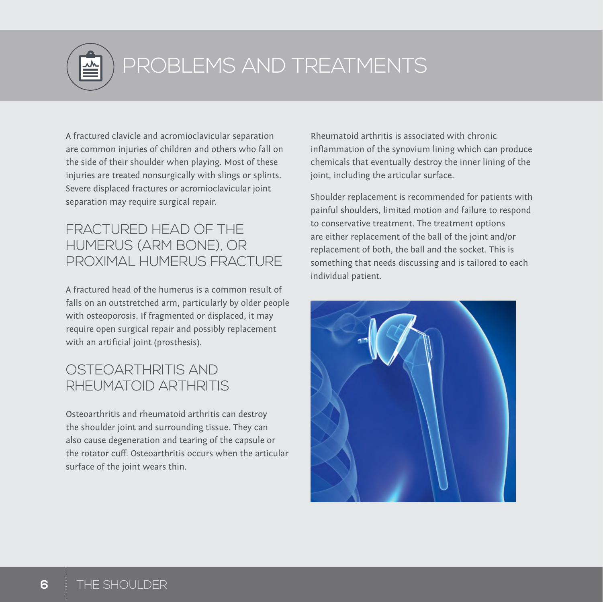

# PROBLEMS AND TREATMENTS

A fractured clavicle and acromioclavicular separation are common injuries of children and others who fall on the side of their shoulder when playing. Most of these injuries are treated nonsurgically with slings or splints. Severe displaced fractures or acromioclavicular joint separation may require surgical repair.

## FRACTURED HEAD OF THE HUMERUS (ARM BONE), OR PROXIMAL HUMERUS FRACTURE

A fractured head of the humerus is a common result of falls on an outstretched arm, particularly by older people with osteoporosis. If fragmented or displaced, it may require open surgical repair and possibly replacement with an artificial joint (prosthesis).

# OSTEOARTHRITIS AND RHEUMATOID ARTHRITIS

Osteoarthritis and rheumatoid arthritis can destroy the shoulder joint and surrounding tissue. They can also cause degeneration and tearing of the capsule or the rotator cuff. Osteoarthritis occurs when the articular surface of the joint wears thin.

Rheumatoid arthritis is associated with chronic inflammation of the synovium lining which can produce chemicals that eventually destroy the inner lining of the joint, including the articular surface.

Shoulder replacement is recommended for patients with painful shoulders, limited motion and failure to respond to conservative treatment. The treatment options are either replacement of the ball of the joint and/or replacement of both, the ball and the socket. This is something that needs discussing and is tailored to each individual patient.

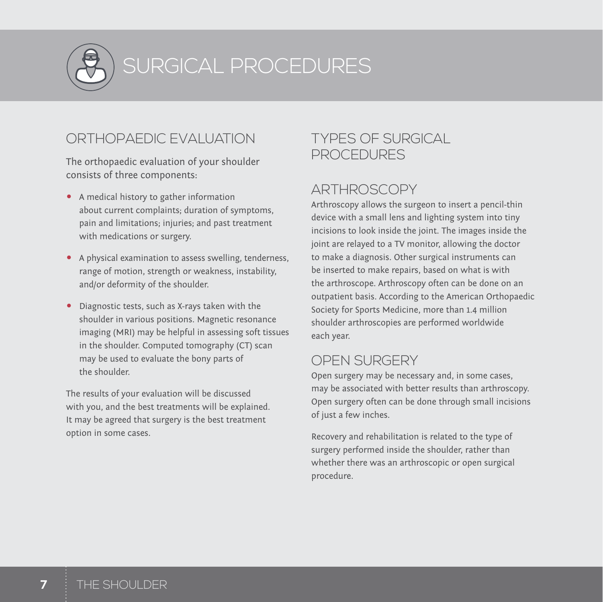

I SURGICAL PROCEDURES

# ORTHOPAEDIC EVALUATION

The orthopaedic evaluation of your shoulder consists of three components:

- A medical history to gather information about current complaints; duration of symptoms, pain and limitations; injuries; and past treatment with medications or surgery.
- A physical examination to assess swelling, tenderness, range of motion, strength or weakness, instability, and/or deformity of the shoulder.
- Diagnostic tests, such as X-rays taken with the shoulder in various positions. Magnetic resonance imaging (MRI) may be helpful in assessing soft tissues in the shoulder. Computed tomography (CT) scan may be used to evaluate the bony parts of the shoulder.

The results of your evaluation will be discussed with you, and the best treatments will be explained. It may be agreed that surgery is the best treatment option in some cases.

# TYPES OF SURGICAL PROCEDURES

# ARTHROSCOPY

Arthroscopy allows the surgeon to insert a pencil-thin device with a small lens and lighting system into tiny incisions to look inside the joint. The images inside the joint are relayed to a TV monitor, allowing the doctor to make a diagnosis. Other surgical instruments can be inserted to make repairs, based on what is with the arthroscope. Arthroscopy often can be done on an outpatient basis. According to the American Orthopaedic Society for Sports Medicine, more than 1.4 million shoulder arthroscopies are performed worldwide each year.

# OPEN SURGERY

Open surgery may be necessary and, in some cases, may be associated with better results than arthroscopy. Open surgery often can be done through small incisions of just a few inches.

Recovery and rehabilitation is related to the type of surgery performed inside the shoulder, rather than whether there was an arthroscopic or open surgical procedure.